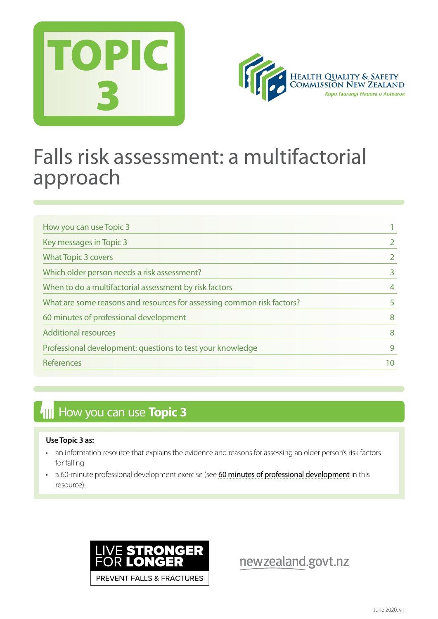



## Falls risk assessment: a multifactorial approach

| How you can use Topic 3                                                |   |
|------------------------------------------------------------------------|---|
| Key messages in Topic 3                                                |   |
| <b>What Topic 3 covers</b>                                             |   |
| Which older person needs a risk assessment?                            |   |
| When to do a multifactorial assessment by risk factors                 | 4 |
| What are some reasons and resources for assessing common risk factors? |   |
| 60 minutes of professional development                                 | 8 |
| <b>Additional resources</b>                                            | 8 |
| Professional development: questions to test your knowledge             | 9 |
| <b>References</b>                                                      |   |

## **How you can use Topic 3**

#### **Use Topic 3 as:**

- an information resource that explains the evidence and reasons for assessing an older person's risk factors for falling
- a 60-minute professional development exercise (see [60 minutes of professional development](#page-8-0) in this resource).



newzealand.govt.nz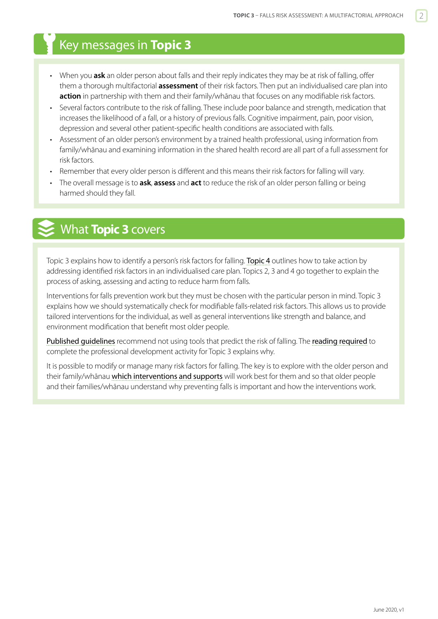## <span id="page-1-0"></span>Key messages in **Topic 3**

- When you **ask** an older person about falls and their reply indicates they may be at risk of falling, offer them a thorough multifactorial **assessment** of their risk factors. Then put an individualised care plan into **action** in partnership with them and their family/whānau that focuses on any modifiable risk factors.
- Several factors contribute to the risk of falling. These include poor balance and strength, medication that increases the likelihood of a fall, or a history of previous falls. Cognitive impairment, pain, poor vision, depression and several other patient-specific health conditions are associated with falls.
- Assessment of an older person's environment by a trained health professional, using information from family/whānau and examining information in the shared health record are all part of a full assessment for risk factors.
- Remember that every older person is different and this means their risk factors for falling will vary.
- The overall message is to **ask**, **assess** and **act** to reduce the risk of an older person falling or being harmed should they fall.

## What **Topic 3** covers

Topic 3 explains how to identify a person's risk factors for falling. [Topic 4](https://www.hqsc.govt.nz/our-programmes/reducing-harm-from-falls/publications-and-resources/publication/2873/) outlines how to take action by addressing identified risk factors in an individualised care plan. Topics 2, 3 and 4 go together to explain the process of asking, assessing and acting to reduce harm from falls.

Interventions for falls prevention work but they must be chosen with the particular person in mind. Topic 3 explains how we should systematically check for modifiable falls-related risk factors. This allows us to provide tailored interventions for the individual, as well as general interventions like strength and balance, and environment modification that benefit most older people.

[Published guidelines](http://guidance.nice.org.uk/CG161) recommend not using tools that predict the risk of falling. The [reading required](http://ageing.oxfordjournals.org/content/37/3/248.full.pdf+html) to complete the professional development activity for Topic 3 explains why.

It is possible to modify or manage many risk factors for falling. The key is to explore with the older person and their family/whānau [which interventions and supports](https://www.hqsc.govt.nz/our-programmes/reducing-harm-from-falls/publications-and-resources/publication/2875) will work best for them and so that older people and their families/whānau understand why preventing falls is important and how the interventions work.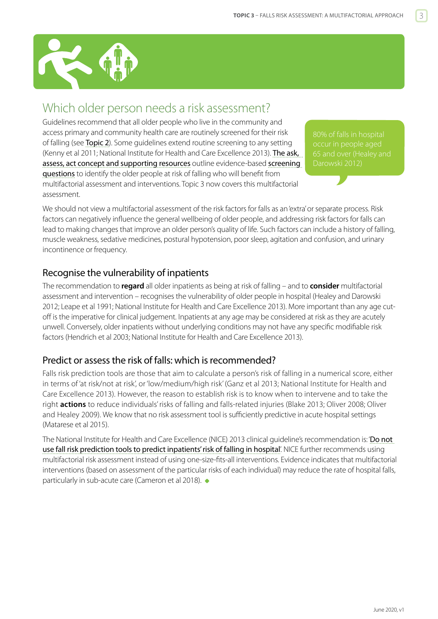## <span id="page-2-0"></span>Which older person needs a risk assessment?

Guidelines recommend that all older people who live in the community and access primary and community health care are routinely screened for their risk of falling (see [Topic 2](https://www.hqsc.govt.nz/our-programmes/reducing-harm-from-falls/publications-and-resources/publication/2873/)). Some guidelines extend routine screening to any setting (Kenny et al 2011; National Institute for Health and Care Excellence 2013). The ask, [assess, act concept and supporting resources](http://www.hqsc.govt.nz/our-programmes/reducing-harm-from-falls/projects/ask-assess-act/) outline evidence-based screening [questions](https://www.hqsc.govt.nz/our-programmes/reducing-harm-from-falls/publications-and-resources/publication/2873/) to identify the older people at risk of falling who will benefit from multifactorial assessment and interventions. Topic 3 now covers this multifactorial assessment.

80% of falls in hospital

We should not view a multifactorial assessment of the risk factors for falls as an 'extra' or separate process. Risk factors can negatively influence the general wellbeing of older people, and addressing risk factors for falls can lead to making changes that improve an older person's quality of life. Such factors can include a history of falling, muscle weakness, sedative medicines, postural hypotension, poor sleep, agitation and confusion, and urinary incontinence or frequency.

#### Recognise the vulnerability of inpatients

The recommendation to **regard** all older inpatients as being at risk of falling – and to **consider** multifactorial assessment and intervention – recognises the vulnerability of older people in hospital (Healey and Darowski 2012; Leape et al 1991; National Institute for Health and Care Excellence 2013). More important than any age cutoff is the imperative for clinical judgement. Inpatients at any age may be considered at risk as they are acutely unwell. Conversely, older inpatients without underlying conditions may not have any specific modifiable risk factors (Hendrich et al 2003; National Institute for Health and Care Excellence 2013).

### Predict or assess the risk of falls: which is recommended?

Falls risk prediction tools are those that aim to calculate a person's risk of falling in a numerical score, either in terms of 'at risk/not at risk', or 'low/medium/high risk' (Ganz et al 2013; National Institute for Health and Care Excellence 2013). However, the reason to establish risk is to know when to intervene and to take the right **actions** to reduce individuals' risks of falling and falls-related injuries (Blake 2013; Oliver 2008; Oliver and Healey 2009). We know that no risk assessment tool is sufficiently predictive in acute hospital settings (Matarese et al 2015).

The National Institute for Health and Care Excellence (NICE) 2013 clinical quideline's recommendation is: 'Do not [use fall risk prediction tools to predict inpatients' risk of falling in hospital](https://www.nice.org.uk/donotdo/do-not-use-fall-risk-prediction-tools-to-predict-inpatients-risk-of-falling-inhospital)'. NICE further recommends using multifactorial risk assessment instead of using one-size-fits-all interventions. Evidence indicates that multifactorial interventions (based on assessment of the particular risks of each individual) may reduce the rate of hospital falls, particularly in sub-acute care (Cameron et al 2018).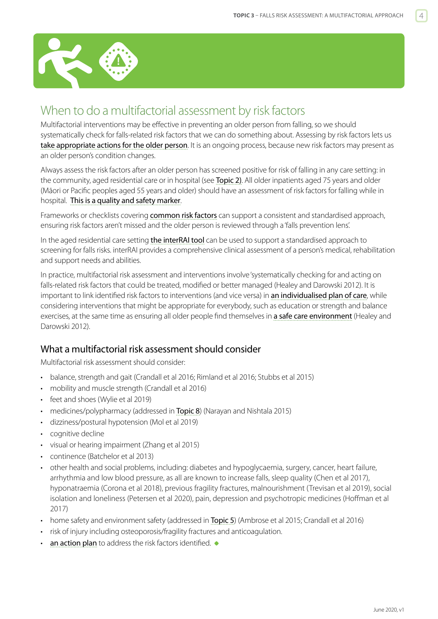<span id="page-3-0"></span>

## When to do a multifactorial assessment by risk factors

Multifactorial interventions may be effective in preventing an older person from falling, so we should systematically check for falls-related risk factors that we can do something about. Assessing by risk factors lets us [take appropriate actions for the older person](https://www.hqsc.govt.nz/our-programmes/reducing-harm-from-falls/publications-and-resources/publication/2875). It is an ongoing process, because new risk factors may present as an older person's condition changes.

Always assess the risk factors after an older person has screened positive for risk of falling in any care setting: in the community, aged residential care or in hospital (see [Topic 2](https://www.hqsc.govt.nz/our-programmes/reducing-harm-from-falls/publications-and-resources/publication/2873/)). All older inpatients aged 75 years and older (Māori or Pacific peoples aged 55 years and older) should have an assessment of risk factors for falling while in hospital. [This is a quality and safety marker](https://www.hqsc.govt.nz/our-programmes/reducing-harm-from-falls/publications-and-resources/publication/2892).

Frameworks or checklists covering [common risk factors](http://www.hqsc.govt.nz/our-programmes/reducing-harm-from-falls/publications-and-resources/publication/1025/) can support a consistent and standardised approach, ensuring risk factors aren't missed and the older person is reviewed through a 'falls prevention lens'.

In the aged residential care setting [the interRAI tool](http://www.health.govt.nz/our-work/ehealth/other-ehealth-initiatives/common-clinical-information/comprehensive-clinical-assessment-aged-care-interrai) can be used to support a standardised approach to screening for falls risks. interRAI provides a comprehensive clinical assessment of a person's medical, rehabilitation and support needs and abilities.

In practice, multifactorial risk assessment and interventions involve 'systematically checking for and acting on falls-related risk factors that could be treated, modified or better managed (Healey and Darowski 2012). It is important to link identified risk factors to interventions (and vice versa) in [an individualised plan of care](https://www.hqsc.govt.nz/our-programmes/reducing-harm-from-falls/publications-and-resources/publication/2875), while considering interventions that might be appropriate for everybody, such as education or strength and balance exercises, at the same time as ensuring all older people find themselves in [a safe care environment](https://www.hqsc.govt.nz/our-programmes/reducing-harm-from-falls/publications-and-resources/publication/2876) (Healey and Darowski 2012).

#### What a multifactorial risk assessment should consider

Multifactorial risk assessment should consider:

- balance, strength and gait (Crandall et al 2016; Rimland et al 2016; Stubbs et al 2015)
- mobility and muscle strength (Crandall et al 2016)
- feet and shoes (Wylie et al 2019)
- medicines/polypharmacy (addressed in [Topic 8](https://www.hqsc.govt.nz/our-programmes/reducing-harm-from-falls/publications-and-resources/publication/2879)) (Narayan and Nishtala 2015)
- dizziness/postural hypotension (Mol et al 2019)
- cognitive decline
- visual or hearing impairment (Zhang et al 2015)
- continence (Batchelor et al 2013)
- other health and social problems, including: diabetes and hypoglycaemia, surgery, cancer, heart failure, arrhythmia and low blood pressure, as all are known to increase falls, sleep quality (Chen et al 2017), hyponatraemia (Corona et al 2018), previous fragility fractures, malnourishment (Trevisan et al 2019), social isolation and loneliness (Petersen et al 2020), pain, depression and psychotropic medicines (Hoffman et al 2017)
- home safety and environment safety (addressed in [Topic 5](https://www.hqsc.govt.nz/our-programmes/reducing-harm-from-falls/publications-and-resources/publication/2888)) (Ambrose et al 2015; Crandall et al 2016)
- risk of injury including osteoporosis/fragility fractures and anticoagulation.
- [an action plan](https://www.hqsc.govt.nz/our-programmes/reducing-harm-from-falls/publications-and-resources/publication/2875) to address the risk factors identified.  $\bullet$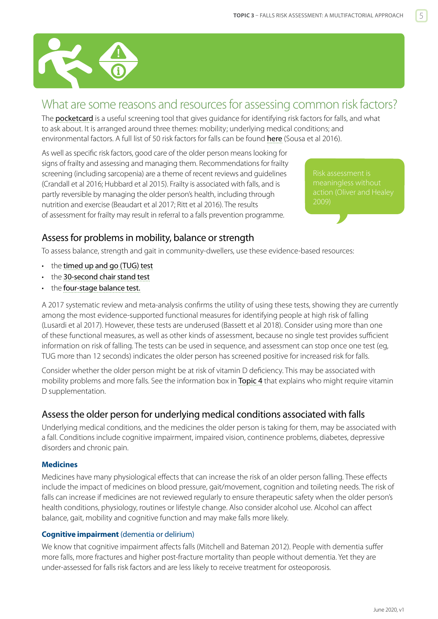<span id="page-4-0"></span>

## What are some reasons and resources for assessing common risk factors?

The **[pocketcard](http://www.hqsc.govt.nz/assets/Falls/PR/AAA-pocket-card-read-Apr-2014.pdf)** is a useful screening tool that gives guidance for identifying risk factors for falls, and what to ask about. It is arranged around three themes: mobility; underlying medical conditions; and environmental factors. A full list of 50 risk factors for falls can be found [here](http://www.scielo.br/scielo.php?script=sci_arttext&pid=S1983-14472016000400601&lng=en&nrm=iso&tlng=en) (Sousa et al 2016).

As well as specific risk factors, good care of the older person means looking for signs of frailty and assessing and managing them. Recommendations for frailty screening (including sarcopenia) are a theme of recent reviews and guidelines (Crandall et al 2016; Hubbard et al 2015). Frailty is associated with falls, and is partly reversible by managing the older person's health, including through nutrition and exercise (Beaudart et al 2017; Ritt et al 2016). The results of assessment for frailty may result in referral to a falls prevention programme.

meaningless without 2009)

### Assess for problems in mobility, balance or strength

To assess balance, strength and gait in community-dwellers, use these evidence-based resources:

- the [timed up and go \(TUG\) test](https://www.hqsc.govt.nz/assets/Falls/PR/004-falls-toolkit-TUG-test.pdf)
- the [30-second chair stand test](https://www.hqsc.govt.nz/assets/Falls/PR/005-falls-toolkit-chair-stand-test.pdf)
- the [four-stage balance test](http://www.hqsc.govt.nz/assets/Falls/PR/006-falls-toolkit-four-stage-balance-test.pdf).

A 2017 systematic review and meta-analysis confirms the utility of using these tests, showing they are currently among the most evidence-supported functional measures for identifying people at high risk of falling (Lusardi et al 2017). However, these tests are underused (Bassett et al 2018). Consider using more than one of these functional measures, as well as other kinds of assessment, because no single test provides sufficient information on risk of falling. The tests can be used in sequence, and assessment can stop once one test (eg, TUG more than 12 seconds) indicates the older person has screened positive for increased risk for falls.

Consider whether the older person might be at risk of vitamin D deficiency. This may be associated with mobility problems and more falls. See the information box in **[Topic 4](https://www.hqsc.govt.nz/our-programmes/reducing-harm-from-falls/publications-and-resources/publication/2875)** that explains who might require vitamin D supplementation.

#### Assess the older person for underlying medical conditions associated with falls

Underlying medical conditions, and the medicines the older person is taking for them, may be associated with a fall. Conditions include cognitive impairment, impaired vision, continence problems, diabetes, depressive disorders and chronic pain.

#### **Medicines**

Medicines have many physiological effects that can increase the risk of an older person falling. These effects include the impact of medicines on blood pressure, gait/movement, cognition and toileting needs. The risk of falls can increase if medicines are not reviewed regularly to ensure therapeutic safety when the older person's health conditions, physiology, routines or lifestyle change. Also consider alcohol use. Alcohol can affect balance, gait, mobility and cognitive function and may make falls more likely.

#### **Cognitive impairment** (dementia or delirium)

We know that cognitive impairment affects falls (Mitchell and Bateman 2012). People with dementia suffer more falls, more fractures and higher post-fracture mortality than people without dementia. Yet they are under-assessed for falls risk factors and are less likely to receive treatment for osteoporosis.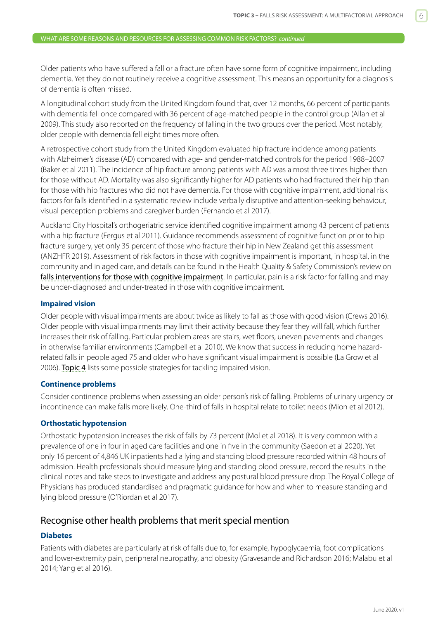Older patients who have suffered a fall or a fracture often have some form of cognitive impairment, including dementia. Yet they do not routinely receive a cognitive assessment. This means an opportunity for a diagnosis of dementia is often missed.

A longitudinal cohort study from the United Kingdom found that, over 12 months, 66 percent of participants with dementia fell once compared with 36 percent of age-matched people in the control group (Allan et al 2009). This study also reported on the frequency of falling in the two groups over the period. Most notably, older people with dementia fell eight times more often.

A retrospective cohort study from the United Kingdom evaluated hip fracture incidence among patients with Alzheimer's disease (AD) compared with age- and gender-matched controls for the period 1988–2007 (Baker et al 2011). The incidence of hip fracture among patients with AD was almost three times higher than for those without AD. Mortality was also significantly higher for AD patients who had fractured their hip than for those with hip fractures who did not have dementia. For those with cognitive impairment, additional risk factors for falls identified in a systematic review include verbally disruptive and attention-seeking behaviour, visual perception problems and caregiver burden (Fernando et al 2017).

Auckland City Hospital's orthogeriatric service identified cognitive impairment among 43 percent of patients with a hip fracture (Fergus et al 2011). Guidance recommends assessment of cognitive function prior to hip fracture surgery, yet only 35 percent of those who fracture their hip in New Zealand get this assessment (ANZHFR 2019). Assessment of risk factors in those with cognitive impairment is important, in hospital, in the community and in aged care, and details can be found in the Health Quality & Safety Commission's review on [falls interventions for those with cognitive impairment](https://www.hqsc.govt.nz/our-programmes/reducing-harm-from-falls/publications-and-resources/publication/3656/). In particular, pain is a risk factor for falling and may be under-diagnosed and under-treated in those with cognitive impairment.

#### **Impaired vision**

Older people with visual impairments are about twice as likely to fall as those with good vision (Crews 2016). Older people with visual impairments may limit their activity because they fear they will fall, which further increases their risk of falling. Particular problem areas are stairs, wet floors, uneven pavements and changes in otherwise familiar environments (Campbell et al 2010). We know that success in reducing home hazardrelated falls in people aged 75 and older who have significant visual impairment is possible (La Grow et al 2006). [Topic 4](https://www.hqsc.govt.nz/our-programmes/reducing-harm-from-falls/publications-and-resources/publication/2875) lists some possible strategies for tackling impaired vision.

#### **Continence problems**

Consider continence problems when assessing an older person's risk of falling. Problems of urinary urgency or incontinence can make falls more likely. One-third of falls in hospital relate to toilet needs (Mion et al 2012).

#### **Orthostatic hypotension**

Orthostatic hypotension increases the risk of falls by 73 percent (Mol et al 2018). It is very common with a prevalence of one in four in aged care facilities and one in five in the community (Saedon et al 2020). Yet only 16 percent of 4,846 UK inpatients had a lying and standing blood pressure recorded within 48 hours of admission. Health professionals should measure lying and standing blood pressure, record the results in the clinical notes and take steps to investigate and address any postural blood pressure drop. The Royal College of Physicians has produced standardised and pragmatic guidance for how and when to measure standing and lying blood pressure (O'Riordan et al 2017).

#### Recognise other health problems that merit special mention

#### **Diabetes**

Patients with diabetes are particularly at risk of falls due to, for example, hypoglycaemia, foot complications and lower-extremity pain, peripheral neuropathy, and obesity (Gravesande and Richardson 2016; Malabu et al 2014; Yang et al 2016).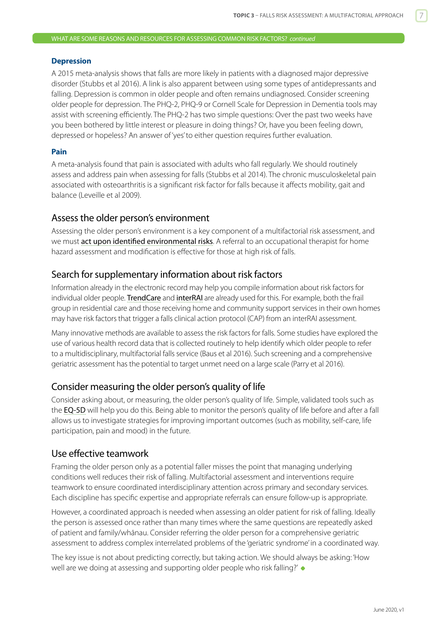#### WHAT ARE SOME REASONS AND RESOURCES FOR ASSESSING COMMON RISK FACTORS? *continued*

#### **Depression**

A 2015 meta-analysis shows that falls are more likely in patients with a diagnosed major depressive disorder (Stubbs et al 2016). A link is also apparent between using some types of antidepressants and falling. Depression is common in older people and often remains undiagnosed. Consider screening older people for depression. The PHQ-2, PHQ-9 or Cornell Scale for Depression in Dementia tools may assist with screening efficiently. The PHQ-2 has two simple questions: Over the past two weeks have you been bothered by little interest or pleasure in doing things? Or, have you been feeling down, depressed or hopeless? An answer of 'yes' to either question requires further evaluation.

#### **Pain**

A meta-analysis found that pain is associated with adults who fall regularly. We should routinely assess and address pain when assessing for falls (Stubbs et al 2014). The chronic musculoskeletal pain associated with osteoarthritis is a significant risk factor for falls because it affects mobility, gait and balance (Leveille et al 2009).

#### Assess the older person's environment

Assessing the older person's environment is a key component of a multifactorial risk assessment, and we must [act upon identified environmental risks](https://www.hqsc.govt.nz/our-programmes/reducing-harm-from-falls/publications-and-resources/publication/2876). A referral to an occupational therapist for home hazard assessment and modification is effective for those at high risk of falls.

#### Search for supplementary information about risk factors

Information already in the electronic record may help you compile information about risk factors for individual older people. [TrendCare](http://www.hqsc.govt.nz/our-programmes/reducing-harm-from-falls/publications-and-resources/publication/1080/) and [interRAI](http://www.health.govt.nz/our-work/ehealth/other-ehealth-initiatives/common-clinical-information/comprehensive-clinical-assessment-aged-care-interrai) are already used for this. For example, both the frail group in residential care and those receiving home and community support services in their own homes may have risk factors that trigger a falls clinical action protocol (CAP) from an interRAI assessment.

Many innovative methods are available to assess the risk factors for falls. Some studies have explored the use of various health record data that is collected routinely to help identify which older people to refer to a multidisciplinary, multifactorial falls service (Baus et al 2016). Such screening and a comprehensive geriatric assessment has the potential to target unmet need on a large scale (Parry et al 2016).

#### Consider measuring the older person's quality of life

Consider asking about, or measuring, the older person's quality of life. Simple, validated tools such as the [EQ-5D](http://www.euroqol.org/) will help you do this. Being able to monitor the person's quality of life before and after a fall allows us to investigate strategies for improving important outcomes (such as mobility, self-care, life participation, pain and mood) in the future.

#### Use effective teamwork

Framing the older person only as a potential faller misses the point that managing underlying conditions well reduces their risk of falling. Multifactorial assessment and interventions require teamwork to ensure coordinated interdisciplinary attention across primary and secondary services. Each discipline has specific expertise and appropriate referrals can ensure follow-up is appropriate.

However, a coordinated approach is needed when assessing an older patient for risk of falling. Ideally the person is assessed once rather than many times where the same questions are repeatedly asked of patient and family/whānau. Consider referring the older person for a comprehensive geriatric assessment to address complex interrelated problems of the 'geriatric syndrome' in a coordinated way.

The key issue is not about predicting correctly, but taking action. We should always be asking: 'How well are we doing at assessing and supporting older people who risk falling?'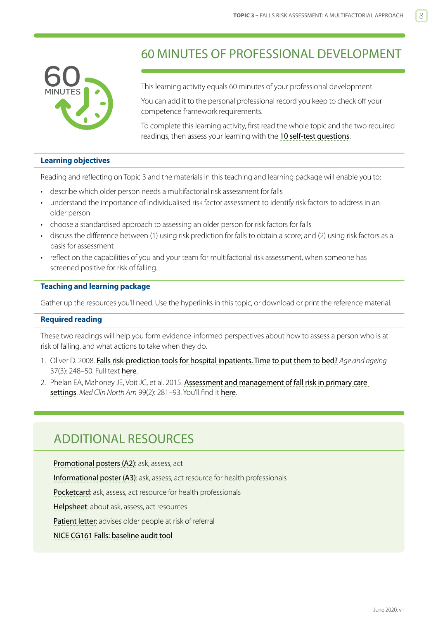<span id="page-7-0"></span>

## 60 MINUTES OF PROFESSIONAL DEVELOPMENT

This learning activity equals 60 minutes of your professional development.

You can add it to the personal professional record you keep to check off your competence framework requirements.

To complete this learning activity, first read the whole topic and the two required readings, then assess your learning with the 10 self-test questions.

#### **Learning objectives**

Reading and reflecting on Topic 3 and the materials in this teaching and learning package will enable you to:

- describe which older person needs a multifactorial risk assessment for falls
- understand the importance of individualised risk factor assessment to identify risk factors to address in an older person
- choose a standardised approach to assessing an older person for risk factors for falls
- discuss the difference between (1) using risk prediction for falls to obtain a score; and (2) using risk factors as a basis for assessment
- reflect on the capabilities of you and your team for multifactorial risk assessment, when someone has screened positive for risk of falling.

#### **Teaching and learning package**

Gather up the resources you'll need. Use the hyperlinks in this topic, or download or print the reference material.

#### **Required reading**

These two readings will help you form evidence-informed perspectives about how to assess a person who is at risk of falling, and what actions to take when they do.

- 1. Oliver D. 2008. [Falls risk-prediction tools for hospital inpatients. Time to put them to bed?](http://ageing.oxfordjournals.org/content/37/3/248.full.pdf+html) *Age and ageing* 37(3): 248-50. Full text [here](http://ageing.oxfordjournals.org/content/37/3/248.full.pdf+html).
- 2. Phelan EA, Mahoney JE, Voit JC, et al. 2015. Assessment and management of fall risk in primary care [settings](https://www.ncbi.nlm.nih.gov/pmc/articles/PMC4707663/). *Med Clin North Am* 99(2): 281–93. You'll find it [here](https://www.ncbi.nlm.nih.gov/pmc/articles/PMC4707663/).

## ADDITIONAL RESOURCES

[Promotional posters \(A2\)](http://www.hqsc.govt.nz/our-programmes/reducing-harm-from-falls/publications-and-resources/publication/1024/): ask, assess, act [Informational poster \(A3\)](http://www.hqsc.govt.nz/our-programmes/reducing-harm-from-falls/publications-and-resources/publication/1458/): ask, assess, act resource for health professionals [Pocketcard](http://www.hqsc.govt.nz/our-programmes/reducing-harm-from-falls/publications-and-resources/publication/1025/): ask, assess, act resource for health professionals [Helpsheet](http://www.hqsc.govt.nz/our-programmes/reducing-harm-from-falls/publications-and-resources/publication/1026/): about ask, assess, act resources [Patient letter](http://www.hqsc.govt.nz/our-programmes/reducing-harm-from-falls/publications-and-resources/publication/1310/): advises older people at risk of referral

#### [NICE CG161 Falls: baseline audit tool](https://www.nice.org.uk/guidance/cg161/resources)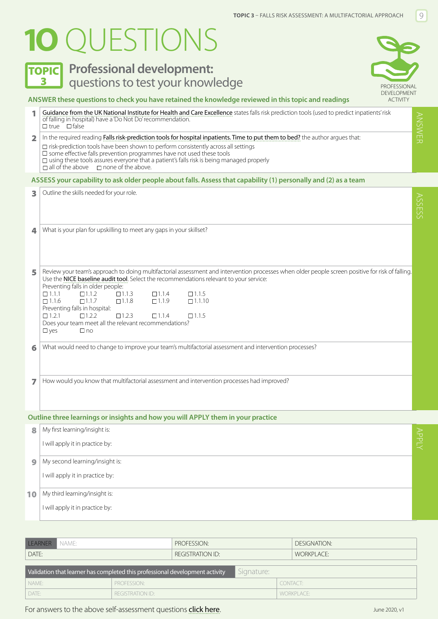# <span id="page-8-0"></span>**1O** QUESTIONS

## **TOPIC** Professional development: 3 **PROFESSIONAL** questions to test your knowledge



#### **ANSWER these questions to check you have retained the knowledge reviewed in this topic and readings**

<sup>1</sup> [Guidance from the UK National Institute for Health and Care Excellence](https://www.nice.org.uk/donotdo/do-not-use-fall-risk-prediction-tools-to-predict-inpatients-risk-of-falling-inhospital) states falls risk prediction tools (used to predict inpatients' risk **ANSWEF** ANSWER of falling in hospital) have a 'Do Not Do' recommendation. true **I**false 2 In the required reading [Falls risk-prediction tools for hospital inpatients. Time to put them to bed?](http://ageing.oxfordjournals.org/content/37/3/248.full.pdf+html) the author argues that:  $\Box$  risk-prediction tools have been shown to perform consistently across all settings

 $\square$  some effective falls prevention programmes have not used these tools

 $\square$  using these tools assures everyone that a patient's falls risk is being managed properly

 $\Box$  all of the above  $\Box$  none of the above.

#### **ASSESS your capability to ask older people about falls. Assess that capability (1) personally and (2) as a team**

| 3 | Outline the skills needed for your role.                                                                                                                                                                                                                                                                                                                                                                                                                                                                                                                                                                                                          |
|---|---------------------------------------------------------------------------------------------------------------------------------------------------------------------------------------------------------------------------------------------------------------------------------------------------------------------------------------------------------------------------------------------------------------------------------------------------------------------------------------------------------------------------------------------------------------------------------------------------------------------------------------------------|
| 4 | What is your plan for upskilling to meet any gaps in your skillset?                                                                                                                                                                                                                                                                                                                                                                                                                                                                                                                                                                               |
| 5 | Review your team's approach to doing multifactorial assessment and intervention processes when older people screen positive for risk of falling.<br>Use the NICE baseline audit tool. Select the recommendations relevant to your service:<br>Preventing falls in older people:<br>$\Box$ 111<br>$\Box$ 112<br>$\Box$ 1.1.3<br>$\Box$ 1.1.4<br>$\Box$ 1.1.5<br>$\Box$ 1.1.6<br>$\Box$ 1.1.7<br>$\Box$ 1.1.8<br>$\Box$ 1.1.9<br>$\Box$ 1.1.10<br>Preventing falls in hospital:<br>$\Box$ 1.2.1<br>$\Box 1.2.2$<br>$\Box$ 1.2.3<br>$\Box$ 1.1.4<br>$\Box$ 1.1.5<br>Does your team meet all the relevant recommendations?<br>$\Box$ yes<br>$\Box$ no |
| 6 | What would need to change to improve your team's multifactorial assessment and intervention processes?                                                                                                                                                                                                                                                                                                                                                                                                                                                                                                                                            |
| 7 | How would you know that multifactorial assessment and intervention processes had improved?                                                                                                                                                                                                                                                                                                                                                                                                                                                                                                                                                        |

#### **Outline three learnings or insights and how you will APPLY them in your practice**

| 8  | My first learning/insight is:   |       |
|----|---------------------------------|-------|
|    | I will apply it in practice by: | ANPLY |
| 9  | My second learning/insight is:  |       |
|    | I will apply it in practice by: |       |
| 10 | My third learning/insight is:   |       |
|    | I will apply it in practice by: |       |

| LEARNER NAME:                                                                              |             | PROFESSION:             |  | DESIGNATION:      |  |  |  |  |  |
|--------------------------------------------------------------------------------------------|-------------|-------------------------|--|-------------------|--|--|--|--|--|
| DATE:                                                                                      |             | <b>REGISTRATION ID:</b> |  | <b>WORKPLACE:</b> |  |  |  |  |  |
| Signature:<br>Validation that learner has completed this professional development activity |             |                         |  |                   |  |  |  |  |  |
|                                                                                            |             |                         |  |                   |  |  |  |  |  |
| NAME:                                                                                      | PROFESSION: |                         |  | CONTACT:          |  |  |  |  |  |
|                                                                                            |             |                         |  |                   |  |  |  |  |  |

#### For answers to the above self-assessment questions [click here](https://www.hqsc.govt.nz/our-programmes/reducing-harm-from-falls/10-topics/10-topics-answers).